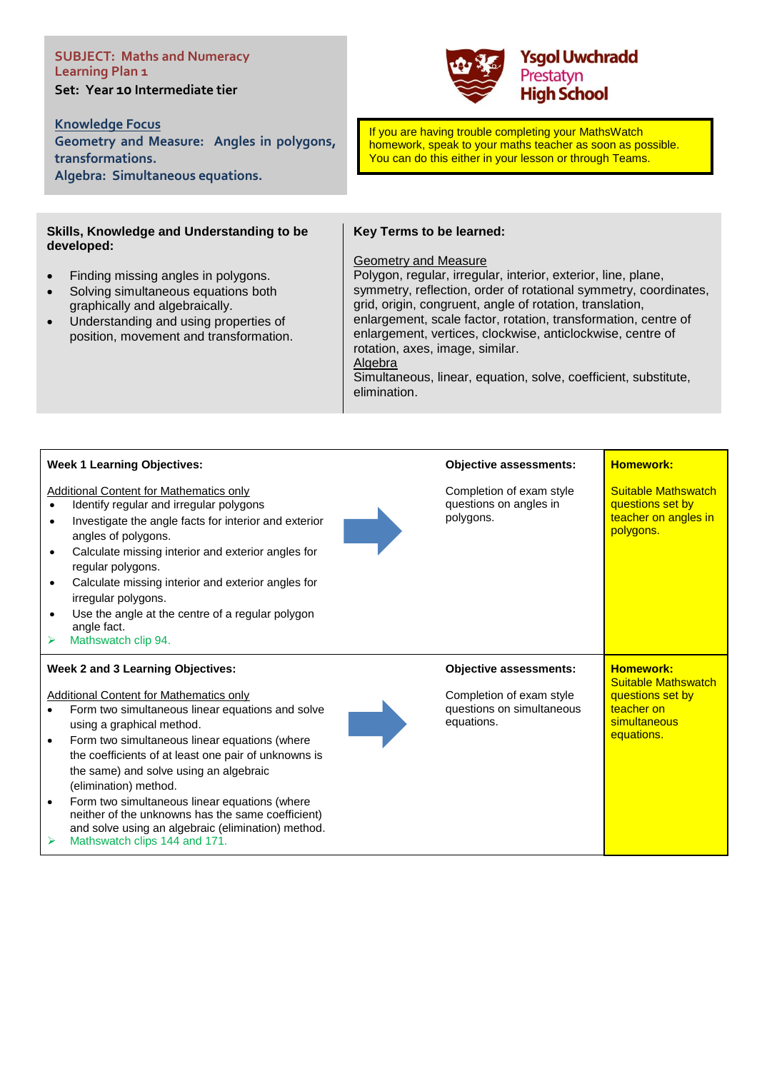# **SUBJECT: Maths and Numeracy Learning Plan 1 Set: Year 10 Intermediate tier**

**Knowledge Focus** 

**Geometry and Measure: Angles in polygons, transformations. Algebra: Simultaneous equations.**

### **Skills, Knowledge and Understanding to be developed:**

- Finding missing angles in polygons.
- Solving simultaneous equations both graphically and algebraically.
- Understanding and using properties of position, movement and transformation.



If you are having trouble completing your MathsWatch homework, speak to your maths teacher as soon as possible. You can do this either in your lesson or through Teams.

# **Key Terms to be learned:**

#### Geometry and Measure

Polygon, regular, irregular, interior, exterior, line, plane, symmetry, reflection, order of rotational symmetry, coordinates, grid, origin, congruent, angle of rotation, translation, enlargement, scale factor, rotation, transformation, centre of enlargement, vertices, clockwise, anticlockwise, centre of rotation, axes, image, similar. Algebra

Simultaneous, linear, equation, solve, coefficient, substitute, elimination.

| <b>Week 1 Learning Objectives:</b>                                                                                                                                                                                                                                                                                                                                                                                                                                                                                                                                           | <b>Objective assessments:</b>                                                                        | <b>Homework:</b>                                                                                               |
|------------------------------------------------------------------------------------------------------------------------------------------------------------------------------------------------------------------------------------------------------------------------------------------------------------------------------------------------------------------------------------------------------------------------------------------------------------------------------------------------------------------------------------------------------------------------------|------------------------------------------------------------------------------------------------------|----------------------------------------------------------------------------------------------------------------|
| <b>Additional Content for Mathematics only</b><br>Identify regular and irregular polygons<br>$\bullet$<br>Investigate the angle facts for interior and exterior<br>$\bullet$<br>angles of polygons.<br>Calculate missing interior and exterior angles for<br>$\bullet$<br>regular polygons.<br>Calculate missing interior and exterior angles for<br>$\bullet$<br>irregular polygons.<br>Use the angle at the centre of a regular polygon<br>$\bullet$<br>angle fact.<br>Mathswatch clip 94.<br>➤                                                                            | Completion of exam style<br>questions on angles in<br>polygons.                                      | <b>Suitable Mathswatch</b><br>questions set by<br>teacher on angles in<br>polygons.                            |
| Week 2 and 3 Learning Objectives:<br><b>Additional Content for Mathematics only</b><br>Form two simultaneous linear equations and solve<br>using a graphical method.<br>Form two simultaneous linear equations (where<br>$\bullet$<br>the coefficients of at least one pair of unknowns is<br>the same) and solve using an algebraic<br>(elimination) method.<br>Form two simultaneous linear equations (where<br>$\bullet$<br>neither of the unknowns has the same coefficient)<br>and solve using an algebraic (elimination) method.<br>Mathswatch clips 144 and 171.<br>➤ | <b>Objective assessments:</b><br>Completion of exam style<br>questions on simultaneous<br>equations. | <b>Homework:</b><br><b>Suitable Mathswatch</b><br>questions set by<br>teacher on<br>simultaneous<br>equations. |